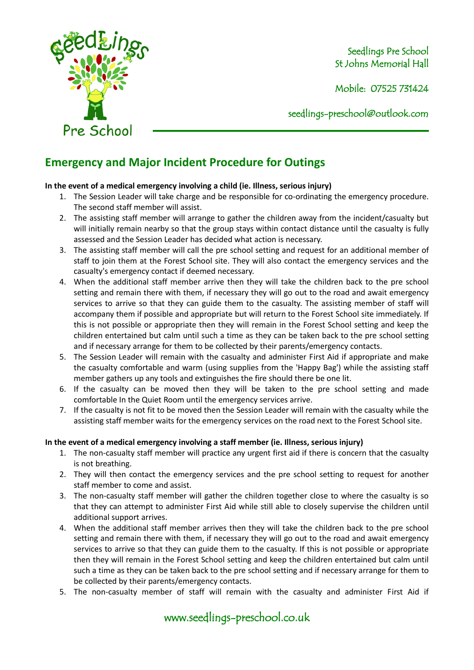

Seedlings Pre School St Johns Memorial Hall

Mobile: 07525 731424

seedlings[-preschool@outlook.com](mailto:preschool@outlook.com)

## **Emergency and Major Incident Procedure for Outings**

## **In the event of a medical emergency involving a child (ie. Illness, serious injury)**

- 1. The Session Leader will take charge and be responsible for co-ordinating the emergency procedure. The second staff member will assist.
- 2. The assisting staff member will arrange to gather the children away from the incident/casualty but will initially remain nearby so that the group stays within contact distance until the casualty is fully assessed and the Session Leader has decided what action is necessary.
- 3. The assisting staff member will call the pre school setting and request for an additional member of staff to join them at the Forest School site. They will also contact the emergency services and the casualty's emergency contact if deemed necessary.
- 4. When the additional staff member arrive then they will take the children back to the pre school setting and remain there with them, if necessary they will go out to the road and await emergency services to arrive so that they can guide them to the casualty. The assisting member of staff will accompany them if possible and appropriate but will return to the Forest School site immediately. If this is not possible or appropriate then they will remain in the Forest School setting and keep the children entertained but calm until such a time as they can be taken back to the pre school setting and if necessary arrange for them to be collected by their parents/emergency contacts.
- 5. The Session Leader will remain with the casualty and administer First Aid if appropriate and make the casualty comfortable and warm (using supplies from the 'Happy Bag') while the assisting staff member gathers up any tools and extinguishes the fire should there be one lit.
- 6. If the casualty can be moved then they will be taken to the pre school setting and made comfortable In the Quiet Room until the emergency services arrive.
- 7. If the casualty is not fit to be moved then the Session Leader will remain with the casualty while the assisting staff member waits for the emergency services on the road next to the Forest School site.

## **In the event of a medical emergency involving a staff member (ie. Illness, serious injury)**

- 1. The non-casualty staff member will practice any urgent first aid if there is concern that the casualty is not breathing.
- 2. They will then contact the emergency services and the pre school setting to request for another staff member to come and assist.
- 3. The non-casualty staff member will gather the children together close to where the casualty is so that they can attempt to administer First Aid while still able to closely supervise the children until additional support arrives.
- 4. When the additional staff member arrives then they will take the children back to the pre school setting and remain there with them, if necessary they will go out to the road and await emergency services to arrive so that they can guide them to the casualty. If this is not possible or appropriate then they will remain in the Forest School setting and keep the children entertained but calm until such a time as they can be taken back to the pre school setting and if necessary arrange for them to be collected by their parents/emergency contacts.
- 5. The non-casualty member of staff will remain with the casualty and administer First Aid if

www.seedlings-preschool.co.uk